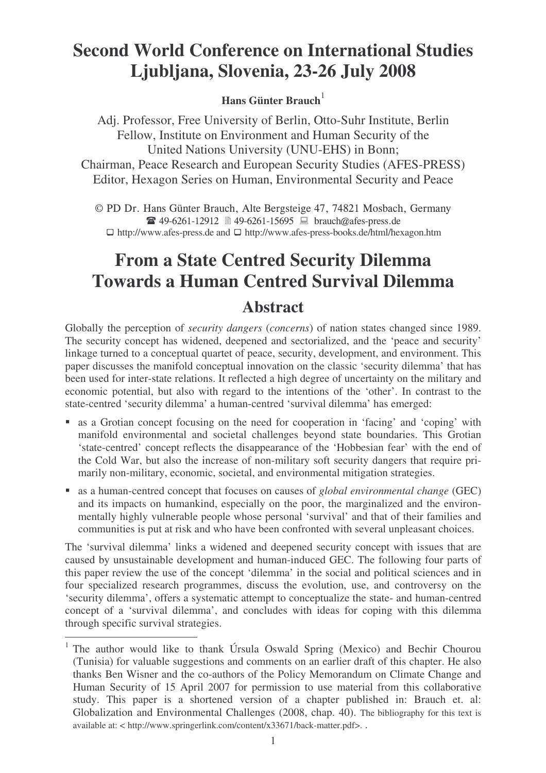# **Second World Conference on International Studies Ljubljana, Slovenia, 23-26 July 2008**

#### **Hans Günter Brauch** 1

Adj. Professor, Free University of Berlin, Otto-Suhr Institute, Berlin Fellow, Institute on Environment and Human Security of the United Nations University (UNU-EHS) in Bonn; Chairman, Peace Research and European Security Studies (AFES-PRESS) Editor, Hexagon Series on Human, Environmental Security and Peace

© PD Dr. Hans Günter Brauch, Alte Bergsteige 47, 74821 Mosbach, Germany **1** 49-6261-12912  $\cong$  49-6261-15695  $\cong$  brauch@afes-press.de  $\Box$  http://www.afes-press.de and  $\Box$  http://www.afes-press-books.de/html/hexagon.htm

# **From a State Centred Security Dilemma Towards a Human Centred Survival Dilemma**

### **Abstract**

Globally the perception of *security dangers* (*concerns*) of nation states changed since 1989. The security concept has widened, deepened and sectorialized, and the 'peace and security' linkage turned to a conceptual quartet of peace, security, development, and environment. This paper discusses the manifold conceptual innovation on the classic 'security dilemma' that has been used for inter-state relations. It reflected a high degree of uncertainty on the military and economic potential, but also with regard to the intentions of the 'other'. In contrast to the state-centred 'security dilemma' a human-centred 'survival dilemma' has emerged:

- as a Grotian concept focusing on the need for cooperation in 'facing' and 'coping' with manifold environmental and societal challenges beyond state boundaries. This Grotian 'state-centred' concept reflects the disappearance of the 'Hobbesian fear' with the end of the Cold War, but also the increase of non-military soft security dangers that require primarily non-military, economic, societal, and environmental mitigation strategies.
- as a human-centred concept that focuses on causes of *global environmental change* (GEC) and its impacts on humankind, especially on the poor, the marginalized and the environmentally highly vulnerable people whose personal 'survival' and that of their families and communities is put at risk and who have been confronted with several unpleasant choices.

The 'survival dilemma' links a widened and deepened security concept with issues that are caused by unsustainable development and human-induced GEC. The following four parts of this paper review the use of the concept 'dilemma' in the social and political sciences and in four specialized research programmes, discuss the evolution, use, and controversy on the 'security dilemma', offers a systematic attempt to conceptualize the state- and human-centred concept of a 'survival dilemma', and concludes with ideas for coping with this dilemma through specific survival strategies.

<sup>&</sup>lt;sup>1</sup> The author would like to thank Úrsula Oswald Spring (Mexico) and Bechir Chourou (Tunisia) for valuable suggestions and comments on an earlier draft of this chapter. He also thanks Ben Wisner and the co-authors of the Policy Memorandum on Climate Change and Human Security of 15 April 2007 for permission to use material from this collaborative study. This paper is a shortened version of a chapter published in: Brauch et. al: Globalization and Environmental Challenges (2008, chap. 40). The bibliography for this text is available at: < http://www.springerlink.com/content/x33671/back-matter.pdf>. .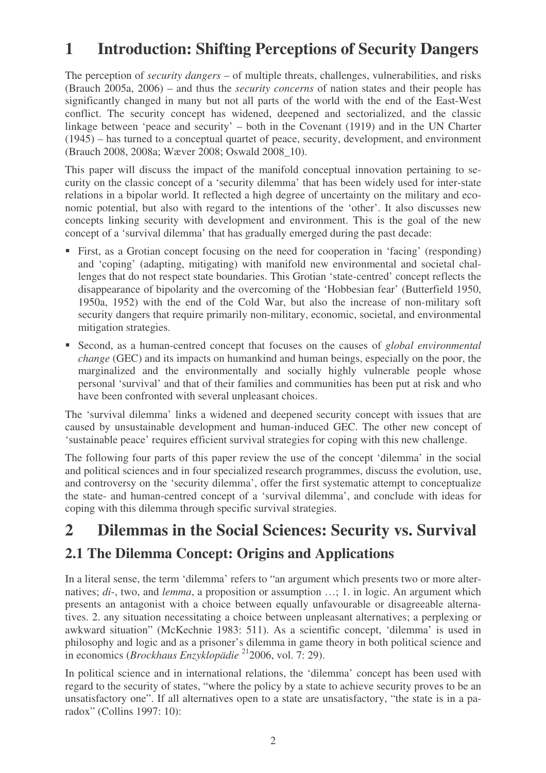# **1 Introduction: Shifting Perceptions of Security Dangers**

The perception of *security dangers* – of multiple threats, challenges, vulnerabilities, and risks (Brauch 2005a, 2006) – and thus the *security concerns* of nation states and their people has significantly changed in many but not all parts of the world with the end of the East-West conflict. The security concept has widened, deepened and sectorialized, and the classic linkage between 'peace and security' – both in the Covenant (1919) and in the UN Charter (1945) – has turned to a conceptual quartet of peace, security, development, and environment (Brauch 2008, 2008a; Wæver 2008; Oswald 2008\_10).

This paper will discuss the impact of the manifold conceptual innovation pertaining to security on the classic concept of a 'security dilemma' that has been widely used for inter-state relations in a bipolar world. It reflected a high degree of uncertainty on the military and economic potential, but also with regard to the intentions of the 'other'. It also discusses new concepts linking security with development and environment. This is the goal of the new concept of a 'survival dilemma' that has gradually emerged during the past decade:

- First, as a Grotian concept focusing on the need for cooperation in 'facing' (responding) and 'coping' (adapting, mitigating) with manifold new environmental and societal challenges that do not respect state boundaries. This Grotian 'state-centred' concept reflects the disappearance of bipolarity and the overcoming of the 'Hobbesian fear' (Butterfield 1950, 1950a, 1952) with the end of the Cold War, but also the increase of non-military soft security dangers that require primarily non-military, economic, societal, and environmental mitigation strategies.
- Second, as a human-centred concept that focuses on the causes of *global environmental change* (GEC) and its impacts on humankind and human beings, especially on the poor, the marginalized and the environmentally and socially highly vulnerable people whose personal 'survival' and that of their families and communities has been put at risk and who have been confronted with several unpleasant choices.

The 'survival dilemma' links a widened and deepened security concept with issues that are caused by unsustainable development and human-induced GEC. The other new concept of 'sustainable peace' requires efficient survival strategies for coping with this new challenge.

The following four parts of this paper review the use of the concept 'dilemma' in the social and political sciences and in four specialized research programmes, discuss the evolution, use, and controversy on the 'security dilemma', offer the first systematic attempt to conceptualize the state- and human-centred concept of a 'survival dilemma', and conclude with ideas for coping with this dilemma through specific survival strategies.

# **2 Dilemmas in the Social Sciences: Security vs. Survival**

### **2.1 The Dilemma Concept: Origins and Applications**

In a literal sense, the term 'dilemma' refers to "an argument which presents two or more alternatives; *di*-, two, and *lemma*, a proposition or assumption …; 1. in logic. An argument which presents an antagonist with a choice between equally unfavourable or disagreeable alternatives. 2. any situation necessitating a choice between unpleasant alternatives; a perplexing or awkward situation" (McKechnie 1983: 511). As a scientific concept, 'dilemma' is used in philosophy and logic and as a prisoner's dilemma in game theory in both political science and in economics (*Brockhaus Enzyklopädie* 21 2006, vol. 7: 29).

In political science and in international relations, the 'dilemma' concept has been used with regard to the security of states, "where the policy by a state to achieve security proves to be an unsatisfactory one". If all alternatives open to a state are unsatisfactory, "the state is in a paradox" (Collins 1997: 10):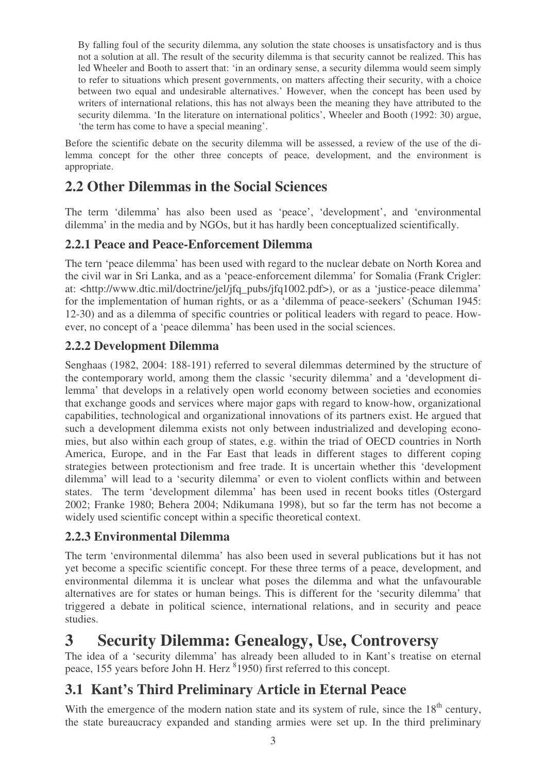By falling foul of the security dilemma, any solution the state chooses is unsatisfactory and is thus not a solution at all. The result of the security dilemma is that security cannot be realized. This has led Wheeler and Booth to assert that: 'in an ordinary sense, a security dilemma would seem simply to refer to situations which present governments, on matters affecting their security, with a choice between two equal and undesirable alternatives.' However, when the concept has been used by writers of international relations, this has not always been the meaning they have attributed to the security dilemma. 'In the literature on international politics', Wheeler and Booth (1992: 30) argue, 'the term has come to have a special meaning'.

Before the scientific debate on the security dilemma will be assessed, a review of the use of the dilemma concept for the other three concepts of peace, development, and the environment is appropriate.

### **2.2 Other Dilemmas in the Social Sciences**

The term 'dilemma' has also been used as 'peace', 'development', and 'environmental dilemma' in the media and by NGOs, but it has hardly been conceptualized scientifically.

#### **2.2.1 Peace and Peace-Enforcement Dilemma**

The tern 'peace dilemma' has been used with regard to the nuclear debate on North Korea and the civil war in Sri Lanka, and as a 'peace-enforcement dilemma' for Somalia (Frank Crigler: at: <http://www.dtic.mil/doctrine/jel/jfq\_pubs/jfq1002.pdf>), or as a 'justice-peace dilemma' for the implementation of human rights, or as a 'dilemma of peace-seekers' (Schuman 1945: 12-30) and as a dilemma of specific countries or political leaders with regard to peace. However, no concept of a 'peace dilemma' has been used in the social sciences.

#### **2.2.2 Development Dilemma**

Senghaas (1982, 2004: 188-191) referred to several dilemmas determined by the structure of the contemporary world, among them the classic 'security dilemma' and a 'development dilemma' that develops in a relatively open world economy between societies and economies that exchange goods and services where major gaps with regard to know-how, organizational capabilities, technological and organizational innovations of its partners exist. He argued that such a development dilemma exists not only between industrialized and developing economies, but also within each group of states, e.g. within the triad of OECD countries in North America, Europe, and in the Far East that leads in different stages to different coping strategies between protectionism and free trade. It is uncertain whether this 'development dilemma' will lead to a 'security dilemma' or even to violent conflicts within and between states. The term 'development dilemma' has been used in recent books titles (Ostergard 2002; Franke 1980; Behera 2004; Ndikumana 1998), but so far the term has not become a widely used scientific concept within a specific theoretical context.

#### **2.2.3 Environmental Dilemma**

The term 'environmental dilemma' has also been used in several publications but it has not yet become a specific scientific concept. For these three terms of a peace, development, and environmental dilemma it is unclear what poses the dilemma and what the unfavourable alternatives are for states or human beings. This is different for the 'security dilemma' that triggered a debate in political science, international relations, and in security and peace studies.

### **3 Security Dilemma: Genealogy, Use, Controversy**

The idea of a 'security dilemma' has already been alluded to in Kant's treatise on eternal peace, 155 years before John H. Herz <sup>8</sup>1950) first referred to this concept.

#### **3.1 Kant's Third Preliminary Article in Eternal Peace**

With the emergence of the modern nation state and its system of rule, since the  $18<sup>th</sup>$  century, the state bureaucracy expanded and standing armies were set up. In the third preliminary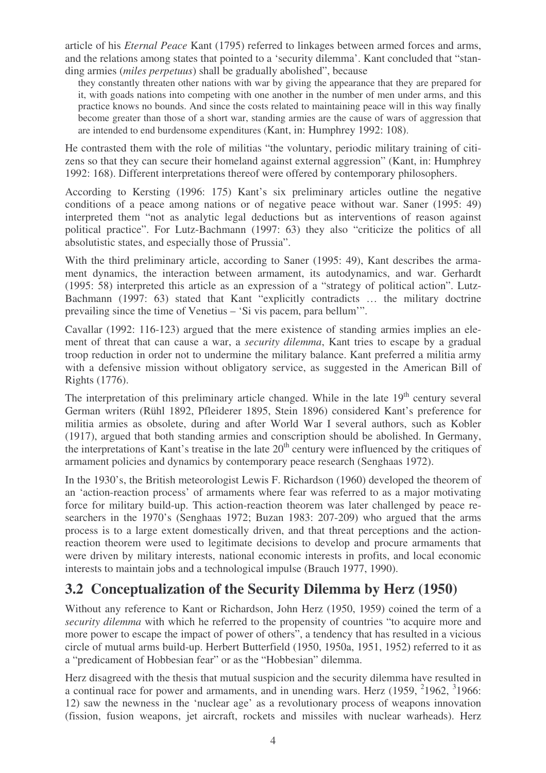article of his *Eternal Peace* Kant (1795) referred to linkages between armed forces and arms, and the relations among states that pointed to a 'security dilemma'. Kant concluded that "standing armies (*miles perpetuus*) shall be gradually abolished", because

they constantly threaten other nations with war by giving the appearance that they are prepared for it, with goads nations into competing with one another in the number of men under arms, and this practice knows no bounds. And since the costs related to maintaining peace will in this way finally become greater than those of a short war, standing armies are the cause of wars of aggression that are intended to end burdensome expenditures (Kant, in: Humphrey 1992: 108).

He contrasted them with the role of militias "the voluntary, periodic military training of citizens so that they can secure their homeland against external aggression" (Kant, in: Humphrey 1992: 168). Different interpretations thereof were offered by contemporary philosophers.

According to Kersting (1996: 175) Kant's six preliminary articles outline the negative conditions of a peace among nations or of negative peace without war. Saner (1995: 49) interpreted them "not as analytic legal deductions but as interventions of reason against political practice". For Lutz-Bachmann (1997: 63) they also "criticize the politics of all absolutistic states, and especially those of Prussia".

With the third preliminary article, according to Saner (1995: 49), Kant describes the armament dynamics, the interaction between armament, its autodynamics, and war. Gerhardt (1995: 58) interpreted this article as an expression of a "strategy of political action". Lutz-Bachmann (1997: 63) stated that Kant "explicitly contradicts … the military doctrine prevailing since the time of Venetius – 'Si vis pacem, para bellum'".

Cavallar (1992: 116-123) argued that the mere existence of standing armies implies an element of threat that can cause a war, a *security dilemma*, Kant tries to escape by a gradual troop reduction in order not to undermine the military balance. Kant preferred a militia army with a defensive mission without obligatory service, as suggested in the American Bill of Rights (1776).

The interpretation of this preliminary article changed. While in the late  $19<sup>th</sup>$  century several German writers (Rühl 1892, Pfleiderer 1895, Stein 1896) considered Kant's preference for militia armies as obsolete, during and after World War I several authors, such as Kobler (1917), argued that both standing armies and conscription should be abolished. In Germany, the interpretations of Kant's treatise in the late  $20<sup>th</sup>$  century were influenced by the critiques of armament policies and dynamics by contemporary peace research (Senghaas 1972).

In the 1930's, the British meteorologist Lewis F. Richardson (1960) developed the theorem of an 'action-reaction process' of armaments where fear was referred to as a major motivating force for military build-up. This action-reaction theorem was later challenged by peace researchers in the 1970's (Senghaas 1972; Buzan 1983: 207-209) who argued that the arms process is to a large extent domestically driven, and that threat perceptions and the actionreaction theorem were used to legitimate decisions to develop and procure armaments that were driven by military interests, national economic interests in profits, and local economic interests to maintain jobs and a technological impulse (Brauch 1977, 1990).

#### **3.2 Conceptualization of the Security Dilemma by Herz (1950)**

Without any reference to Kant or Richardson, John Herz (1950, 1959) coined the term of a *security dilemma* with which he referred to the propensity of countries "to acquire more and more power to escape the impact of power of others", a tendency that has resulted in a vicious circle of mutual arms build-up. Herbert Butterfield (1950, 1950a, 1951, 1952) referred to it as a "predicament of Hobbesian fear" or as the "Hobbesian" dilemma.

Herz disagreed with the thesis that mutual suspicion and the security dilemma have resulted in a continual race for power and armaments, and in unending wars. Herz  $(1959, \frac{21962}{}, \frac{31966}{})$ 12) saw the newness in the 'nuclear age' as a revolutionary process of weapons innovation (fission, fusion weapons, jet aircraft, rockets and missiles with nuclear warheads). Herz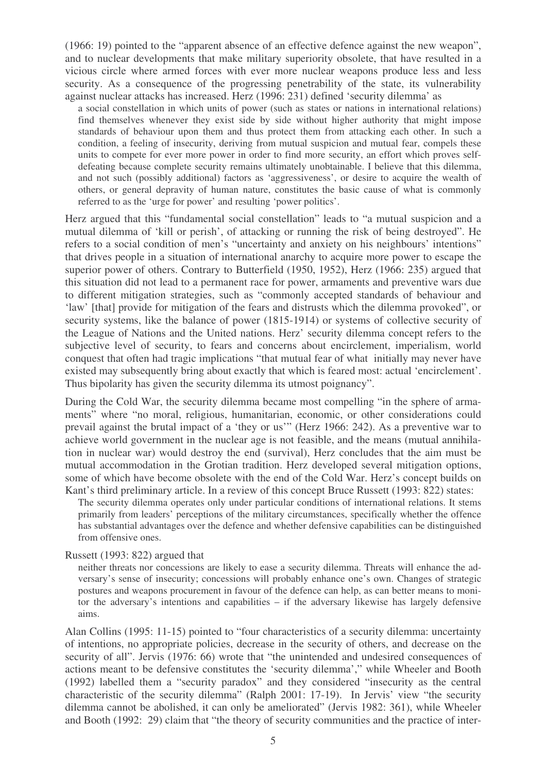(1966: 19) pointed to the "apparent absence of an effective defence against the new weapon", and to nuclear developments that make military superiority obsolete, that have resulted in a vicious circle where armed forces with ever more nuclear weapons produce less and less security. As a consequence of the progressing penetrability of the state, its vulnerability against nuclear attacks has increased. Herz (1996: 231) defined 'security dilemma' as

a social constellation in which units of power (such as states or nations in international relations) find themselves whenever they exist side by side without higher authority that might impose standards of behaviour upon them and thus protect them from attacking each other. In such a condition, a feeling of insecurity, deriving from mutual suspicion and mutual fear, compels these units to compete for ever more power in order to find more security, an effort which proves selfdefeating because complete security remains ultimately unobtainable. I believe that this dilemma, and not such (possibly additional) factors as 'aggressiveness', or desire to acquire the wealth of others, or general depravity of human nature, constitutes the basic cause of what is commonly referred to as the 'urge for power' and resulting 'power politics'.

Herz argued that this "fundamental social constellation" leads to "a mutual suspicion and a mutual dilemma of 'kill or perish', of attacking or running the risk of being destroyed". He refers to a social condition of men's "uncertainty and anxiety on his neighbours' intentions" that drives people in a situation of international anarchy to acquire more power to escape the superior power of others. Contrary to Butterfield (1950, 1952), Herz (1966: 235) argued that this situation did not lead to a permanent race for power, armaments and preventive wars due to different mitigation strategies, such as "commonly accepted standards of behaviour and 'law' [that] provide for mitigation of the fears and distrusts which the dilemma provoked", or security systems, like the balance of power (1815-1914) or systems of collective security of the League of Nations and the United nations. Herz' security dilemma concept refers to the subjective level of security, to fears and concerns about encirclement, imperialism, world conquest that often had tragic implications "that mutual fear of what initially may never have existed may subsequently bring about exactly that which is feared most: actual 'encirclement'. Thus bipolarity has given the security dilemma its utmost poignancy".

During the Cold War, the security dilemma became most compelling "in the sphere of armaments" where "no moral, religious, humanitarian, economic, or other considerations could prevail against the brutal impact of a 'they or us'" (Herz 1966: 242). As a preventive war to achieve world government in the nuclear age is not feasible, and the means (mutual annihilation in nuclear war) would destroy the end (survival), Herz concludes that the aim must be mutual accommodation in the Grotian tradition. Herz developed several mitigation options, some of which have become obsolete with the end of the Cold War. Herz's concept builds on Kant's third preliminary article. In a review of this concept Bruce Russett (1993: 822) states:

The security dilemma operates only under particular conditions of international relations. It stems primarily from leaders' perceptions of the military circumstances, specifically whether the offence has substantial advantages over the defence and whether defensive capabilities can be distinguished from offensive ones.

#### Russett (1993: 822) argued that

neither threats nor concessions are likely to ease a security dilemma. Threats will enhance the adversary's sense of insecurity; concessions will probably enhance one's own. Changes of strategic postures and weapons procurement in favour of the defence can help, as can better means to monitor the adversary's intentions and capabilities – if the adversary likewise has largely defensive aims.

Alan Collins (1995: 11-15) pointed to "four characteristics of a security dilemma: uncertainty of intentions, no appropriate policies, decrease in the security of others, and decrease on the security of all". Jervis (1976: 66) wrote that "the unintended and undesired consequences of actions meant to be defensive constitutes the 'security dilemma'," while Wheeler and Booth (1992) labelled them a "security paradox" and they considered "insecurity as the central characteristic of the security dilemma" (Ralph 2001: 17-19). In Jervis' view "the security dilemma cannot be abolished, it can only be ameliorated" (Jervis 1982: 361), while Wheeler and Booth (1992: 29) claim that "the theory of security communities and the practice of inter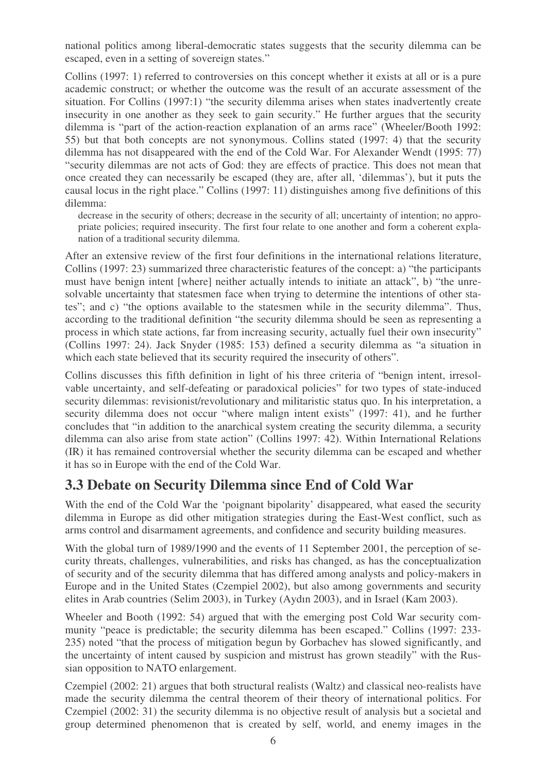national politics among liberal-democratic states suggests that the security dilemma can be escaped, even in a setting of sovereign states."

Collins (1997: 1) referred to controversies on this concept whether it exists at all or is a pure academic construct; or whether the outcome was the result of an accurate assessment of the situation. For Collins (1997:1) "the security dilemma arises when states inadvertently create insecurity in one another as they seek to gain security." He further argues that the security dilemma is "part of the action-reaction explanation of an arms race" (Wheeler/Booth 1992: 55) but that both concepts are not synonymous. Collins stated (1997: 4) that the security dilemma has not disappeared with the end of the Cold War. For Alexander Wendt (1995: 77) "security dilemmas are not acts of God: they are effects of practice. This does not mean that once created they can necessarily be escaped (they are, after all, 'dilemmas'), but it puts the causal locus in the right place." Collins (1997: 11) distinguishes among five definitions of this dilemma:

decrease in the security of others; decrease in the security of all; uncertainty of intention; no appropriate policies; required insecurity. The first four relate to one another and form a coherent explanation of a traditional security dilemma.

After an extensive review of the first four definitions in the international relations literature, Collins (1997: 23) summarized three characteristic features of the concept: a) "the participants must have benign intent [where] neither actually intends to initiate an attack", b) "the unresolvable uncertainty that statesmen face when trying to determine the intentions of other states"; and c) "the options available to the statesmen while in the security dilemma". Thus, according to the traditional definition "the security dilemma should be seen as representing a process in which state actions, far from increasing security, actually fuel their own insecurity" (Collins 1997: 24). Jack Snyder (1985: 153) defined a security dilemma as "a situation in which each state believed that its security required the insecurity of others".

Collins discusses this fifth definition in light of his three criteria of "benign intent, irresolvable uncertainty, and self-defeating or paradoxical policies" for two types of state-induced security dilemmas: revisionist/revolutionary and militaristic status quo. In his interpretation, a security dilemma does not occur "where malign intent exists" (1997: 41), and he further concludes that "in addition to the anarchical system creating the security dilemma, a security dilemma can also arise from state action" (Collins 1997: 42). Within International Relations (IR) it has remained controversial whether the security dilemma can be escaped and whether it has so in Europe with the end of the Cold War.

#### **3.3 Debate on Security Dilemma since End of Cold War**

With the end of the Cold War the 'poignant bipolarity' disappeared, what eased the security dilemma in Europe as did other mitigation strategies during the East-West conflict, such as arms control and disarmament agreements, and confidence and security building measures.

With the global turn of 1989/1990 and the events of 11 September 2001, the perception of security threats, challenges, vulnerabilities, and risks has changed, as has the conceptualization of security and of the security dilemma that has differed among analysts and policy-makers in Europe and in the United States (Czempiel 2002), but also among governments and security elites in Arab countries (Selim 2003), in Turkey (Aydın 2003), and in Israel (Kam 2003).

Wheeler and Booth (1992: 54) argued that with the emerging post Cold War security community "peace is predictable; the security dilemma has been escaped." Collins (1997: 233- 235) noted "that the process of mitigation begun by Gorbachev has slowed significantly, and the uncertainty of intent caused by suspicion and mistrust has grown steadily" with the Russian opposition to NATO enlargement.

Czempiel (2002: 21) argues that both structural realists (Waltz) and classical neo-realists have made the security dilemma the central theorem of their theory of international politics. For Czempiel (2002: 31) the security dilemma is no objective result of analysis but a societal and group determined phenomenon that is created by self, world, and enemy images in the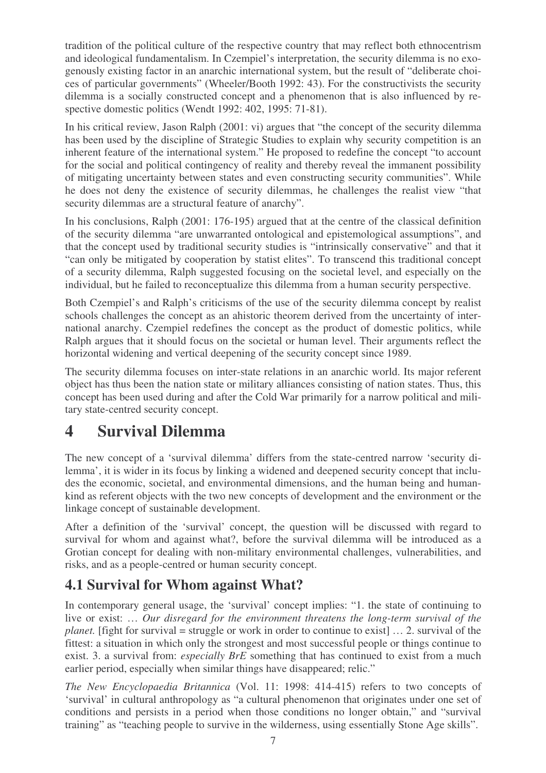tradition of the political culture of the respective country that may reflect both ethnocentrism and ideological fundamentalism. In Czempiel's interpretation, the security dilemma is no exogenously existing factor in an anarchic international system, but the result of "deliberate choices of particular governments" (Wheeler/Booth 1992: 43). For the constructivists the security dilemma is a socially constructed concept and a phenomenon that is also influenced by respective domestic politics (Wendt 1992: 402, 1995: 71-81).

In his critical review, Jason Ralph (2001: vi) argues that "the concept of the security dilemma has been used by the discipline of Strategic Studies to explain why security competition is an inherent feature of the international system." He proposed to redefine the concept "to account for the social and political contingency of reality and thereby reveal the immanent possibility of mitigating uncertainty between states and even constructing security communities". While he does not deny the existence of security dilemmas, he challenges the realist view "that security dilemmas are a structural feature of anarchy".

In his conclusions, Ralph (2001: 176-195) argued that at the centre of the classical definition of the security dilemma "are unwarranted ontological and epistemological assumptions", and that the concept used by traditional security studies is "intrinsically conservative" and that it "can only be mitigated by cooperation by statist elites". To transcend this traditional concept of a security dilemma, Ralph suggested focusing on the societal level, and especially on the individual, but he failed to reconceptualize this dilemma from a human security perspective.

Both Czempiel's and Ralph's criticisms of the use of the security dilemma concept by realist schools challenges the concept as an ahistoric theorem derived from the uncertainty of international anarchy. Czempiel redefines the concept as the product of domestic politics, while Ralph argues that it should focus on the societal or human level. Their arguments reflect the horizontal widening and vertical deepening of the security concept since 1989.

The security dilemma focuses on inter-state relations in an anarchic world. Its major referent object has thus been the nation state or military alliances consisting of nation states. Thus, this concept has been used during and after the Cold War primarily for a narrow political and military state-centred security concept.

## **4 Survival Dilemma**

The new concept of a 'survival dilemma' differs from the state-centred narrow 'security dilemma', it is wider in its focus by linking a widened and deepened security concept that includes the economic, societal, and environmental dimensions, and the human being and humankind as referent objects with the two new concepts of development and the environment or the linkage concept of sustainable development.

After a definition of the 'survival' concept, the question will be discussed with regard to survival for whom and against what?, before the survival dilemma will be introduced as a Grotian concept for dealing with non-military environmental challenges, vulnerabilities, and risks, and as a people-centred or human security concept.

### **4.1 Survival for Whom against What?**

In contemporary general usage, the 'survival' concept implies: "1. the state of continuing to live or exist: … *Our disregard for the environment threatens the long-term survival of the planet.* [fight for survival = struggle or work in order to continue to exist] ... 2. survival of the fittest: a situation in which only the strongest and most successful people or things continue to exist. 3. a survival from: *especially BrE* something that has continued to exist from a much earlier period, especially when similar things have disappeared; relic."

*The New Encyclopaedia Britannica* (Vol. 11: 1998: 414-415) refers to two concepts of 'survival' in cultural anthropology as "a cultural phenomenon that originates under one set of conditions and persists in a period when those conditions no longer obtain," and "survival training" as "teaching people to survive in the wilderness, using essentially Stone Age skills".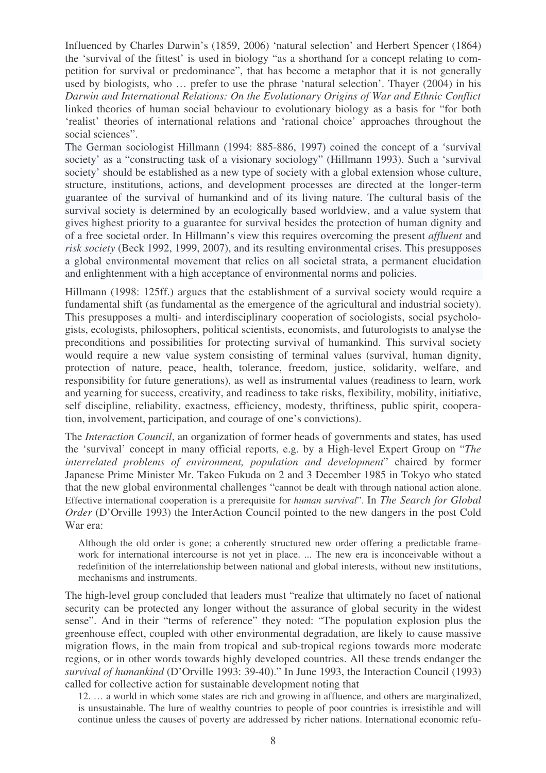Influenced by Charles Darwin's (1859, 2006) 'natural selection' and Herbert Spencer (1864) the 'survival of the fittest' is used in biology "as a shorthand for a concept relating to competition for survival or predominance", that has become a metaphor that it is not generally used by biologists, who … prefer to use the phrase 'natural selection'. Thayer (2004) in his *Darwin and International Relations: On the Evolutionary Origins of War and Ethnic Conflict* linked theories of human social behaviour to evolutionary biology as a basis for "for both 'realist' theories of international relations and 'rational choice' approaches throughout the social sciences".

The German sociologist Hillmann (1994: 885-886, 1997) coined the concept of a 'survival society' as a "constructing task of a visionary sociology" (Hillmann 1993). Such a 'survival society' should be established as a new type of society with a global extension whose culture, structure, institutions, actions, and development processes are directed at the longer-term guarantee of the survival of humankind and of its living nature. The cultural basis of the survival society is determined by an ecologically based worldview, and a value system that gives highest priority to a guarantee for survival besides the protection of human dignity and of a free societal order. In Hillmann's view this requires overcoming the present *affluent* and *risk society* (Beck 1992, 1999, 2007), and its resulting environmental crises. This presupposes a global environmental movement that relies on all societal strata, a permanent elucidation and enlightenment with a high acceptance of environmental norms and policies.

Hillmann (1998: 125ff.) argues that the establishment of a survival society would require a fundamental shift (as fundamental as the emergence of the agricultural and industrial society). This presupposes a multi- and interdisciplinary cooperation of sociologists, social psychologists, ecologists, philosophers, political scientists, economists, and futurologists to analyse the preconditions and possibilities for protecting survival of humankind. This survival society would require a new value system consisting of terminal values (survival, human dignity, protection of nature, peace, health, tolerance, freedom, justice, solidarity, welfare, and responsibility for future generations), as well as instrumental values (readiness to learn, work and yearning for success, creativity, and readiness to take risks, flexibility, mobility, initiative, self discipline, reliability, exactness, efficiency, modesty, thriftiness, public spirit, cooperation, involvement, participation, and courage of one's convictions).

The *Interaction Council*, an organization of former heads of governments and states, has used the 'survival' concept in many official reports, e.g. by a High-level Expert Group on "*The interrelated problems of environment, population and development*" chaired by former Japanese Prime Minister Mr. Takeo Fukuda on 2 and 3 December 1985 in Tokyo who stated that the new global environmental challenges "cannot be dealt with through national action alone. Effective international cooperation is a prerequisite for *human survival*". In *The Search for Global Order* (D'Orville 1993) the InterAction Council pointed to the new dangers in the post Cold War era:

Although the old order is gone; a coherently structured new order offering a predictable framework for international intercourse is not yet in place. ... The new era is inconceivable without a redefinition of the interrelationship between national and global interests, without new institutions, mechanisms and instruments.

The high-level group concluded that leaders must "realize that ultimately no facet of national security can be protected any longer without the assurance of global security in the widest sense". And in their "terms of reference" they noted: "The population explosion plus the greenhouse effect, coupled with other environmental degradation, are likely to cause massive migration flows, in the main from tropical and sub-tropical regions towards more moderate regions, or in other words towards highly developed countries. All these trends endanger the *survival of humankind* (D'Orville 1993: 39-40)." In June 1993, the Interaction Council (1993) called for collective action for sustainable development noting that

12. … a world in which some states are rich and growing in affluence, and others are marginalized, is unsustainable. The lure of wealthy countries to people of poor countries is irresistible and will continue unless the causes of poverty are addressed by richer nations. International economic refu-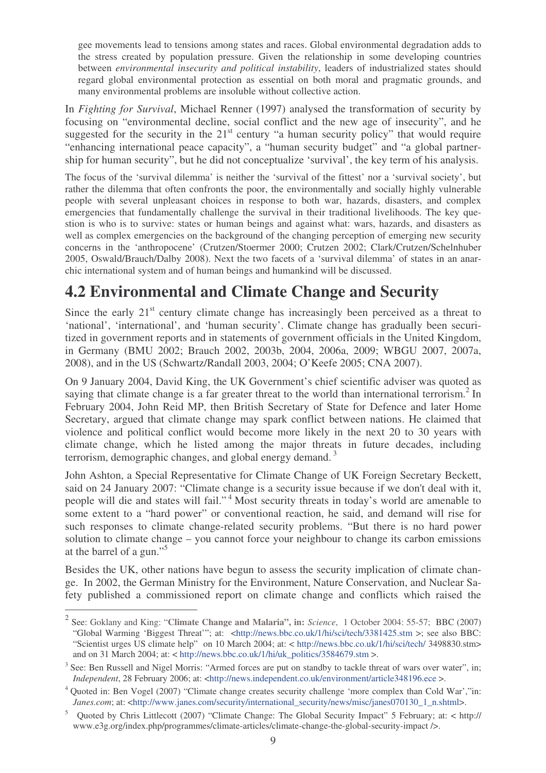gee movements lead to tensions among states and races. Global environmental degradation adds to the stress created by population pressure. Given the relationship in some developing countries between *environmental insecurity and political instability*, leaders of industrialized states should regard global environmental protection as essential on both moral and pragmatic grounds, and many environmental problems are insoluble without collective action.

In *Fighting for Survival*, Michael Renner (1997) analysed the transformation of security by focusing on "environmental decline, social conflict and the new age of insecurity", and he suggested for the security in the  $21<sup>st</sup>$  century "a human security policy" that would require "enhancing international peace capacity", a "human security budget" and "a global partnership for human security", but he did not conceptualize 'survival', the key term of his analysis.

The focus of the 'survival dilemma' is neither the 'survival of the fittest' nor a 'survival society', but rather the dilemma that often confronts the poor, the environmentally and socially highly vulnerable people with several unpleasant choices in response to both war, hazards, disasters, and complex emergencies that fundamentally challenge the survival in their traditional livelihoods. The key question is who is to survive: states or human beings and against what: wars, hazards, and disasters as well as complex emergencies on the background of the changing perception of emerging new security concerns in the 'anthropocene' (Crutzen/Stoermer 2000; Crutzen 2002; Clark/Crutzen/Schelnhuber 2005, Oswald/Brauch/Dalby 2008). Next the two facets of a 'survival dilemma' of states in an anarchic international system and of human beings and humankind will be discussed.

# **4.2 Environmental and Climate Change and Security**

Since the early  $21<sup>st</sup>$  century climate change has increasingly been perceived as a threat to 'national', 'international', and 'human security'. Climate change has gradually been securitized in government reports and in statements of government officials in the United Kingdom, in Germany (BMU 2002; Brauch 2002, 2003b, 2004, 2006a, 2009; WBGU 2007, 2007a, 2008), and in the US (Schwartz/Randall 2003, 2004; O'Keefe 2005; CNA 2007).

On 9 January 2004, David King, the UK Government's chief scientific adviser was quoted as saying that climate change is a far greater threat to the world than international terrorism.<sup>2</sup> In February 2004, John Reid MP, then British Secretary of State for Defence and later Home Secretary, argued that climate change may spark conflict between nations. He claimed that violence and political conflict would become more likely in the next 20 to 30 years with climate change, which he listed among the major threats in future decades, including terrorism, demographic changes, and global energy demand.<sup>3</sup>

John Ashton, a Special Representative for Climate Change of UK Foreign Secretary Beckett, said on 24 January 2007: "Climate change is a security issue because if we don't deal with it, people will die and states will fail." <sup>4</sup> Most security threats in today's world are amenable to some extent to a "hard power" or conventional reaction, he said, and demand will rise for such responses to climate change-related security problems. "But there is no hard power solution to climate change – you cannot force your neighbour to change its carbon emissions at the barrel of a gun."<sup>5</sup>

Besides the UK, other nations have begun to assess the security implication of climate change. In 2002, the German Ministry for the Environment, Nature Conservation, and Nuclear Safety published a commissioned report on climate change and conflicts which raised the

<sup>2</sup> See: Goklany and King: "**Climate Change and Malaria", in:** *Science*, 1 October 2004: 55-57; BBC (2007) "Global Warming 'Biggest Threat'"; at: <http://news.bbc.co.uk/1/hi/sci/tech/3381425.stm >; see also BBC: "Scientist urges US climate help" on 10 March 2004; at: < http://news.bbc.co.uk/1/hi/sci/tech/ 3498830.stm> and on 31 March 2004; at: < http://news.bbc.co.uk/1/hi/uk\_politics/3584679.stm >.

<sup>&</sup>lt;sup>3</sup> See: Ben Russell and Nigel Morris: "Armed forces are put on standby to tackle threat of wars over water", in; *Independent*, 28 February 2006; at: <http://news.independent.co.uk/environment/article348196.ece >.

<sup>4</sup> Quoted in: Ben Vogel (2007) "Climate change creates security challenge 'more complex than Cold War',"in: *Janes.com*; at: <http://www.janes.com/security/international\_security/news/misc/janes070130\_1\_n.shtml>.

<sup>5</sup> Quoted by Chris Littlecott (2007) "Climate Change: The Global Security Impact" 5 February; at: < http:// www.e3g.org/index.php/programmes/climate-articles/climate-change-the-global-security-impact />.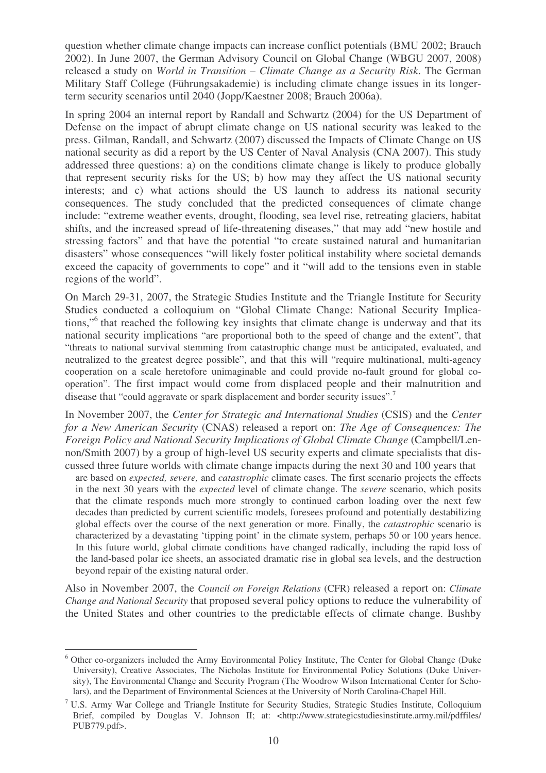question whether climate change impacts can increase conflict potentials (BMU 2002; Brauch 2002). In June 2007, the German Advisory Council on Global Change (WBGU 2007, 2008) released a study on *World in Transition – Climate Change as a Security Risk*. The German Military Staff College (Führungsakademie) is including climate change issues in its longerterm security scenarios until 2040 (Jopp/Kaestner 2008; Brauch 2006a).

In spring 2004 an internal report by Randall and Schwartz (2004) for the US Department of Defense on the impact of abrupt climate change on US national security was leaked to the press. Gilman, Randall, and Schwartz (2007) discussed the Impacts of Climate Change on US national security as did a report by the US Center of Naval Analysis (CNA 2007). This study addressed three questions: a) on the conditions climate change is likely to produce globally that represent security risks for the US; b) how may they affect the US national security interests; and c) what actions should the US launch to address its national security consequences. The study concluded that the predicted consequences of climate change include: "extreme weather events, drought, flooding, sea level rise, retreating glaciers, habitat shifts, and the increased spread of life-threatening diseases," that may add "new hostile and stressing factors" and that have the potential "to create sustained natural and humanitarian disasters" whose consequences "will likely foster political instability where societal demands exceed the capacity of governments to cope" and it "will add to the tensions even in stable regions of the world".

On March 29-31, 2007, the Strategic Studies Institute and the Triangle Institute for Security Studies conducted a colloquium on "Global Climate Change: National Security Implications," 6 that reached the following key insights that climate change is underway and that its national security implications "are proportional both to the speed of change and the extent", that "threats to national survival stemming from catastrophic change must be anticipated, evaluated, and neutralized to the greatest degree possible", and that this will "require multinational, multi-agency cooperation on a scale heretofore unimaginable and could provide no-fault ground for global cooperation". The first impact would come from displaced people and their malnutrition and disease that "could aggravate or spark displacement and border security issues".<sup>7</sup>

In November 2007, the *Center for Strategic and International Studies* (CSIS) and the *Center for a New American Security* (CNAS) released a report on: *The Age of Consequences: The Foreign Policy and National Security Implications of Global Climate Change* (Campbell/Lennon/Smith 2007) by a group of high-level US security experts and climate specialists that discussed three future worlds with climate change impacts during the next 30 and 100 years that

are based on *expected, severe,* and *catastrophic* climate cases. The first scenario projects the effects in the next 30 years with the *expected* level of climate change. The *severe* scenario, which posits that the climate responds much more strongly to continued carbon loading over the next few decades than predicted by current scientific models, foresees profound and potentially destabilizing global effects over the course of the next generation or more. Finally, the *catastrophic* scenario is characterized by a devastating 'tipping point' in the climate system, perhaps 50 or 100 years hence. In this future world, global climate conditions have changed radically, including the rapid loss of the land-based polar ice sheets, an associated dramatic rise in global sea levels, and the destruction beyond repair of the existing natural order.

Also in November 2007, the *Council on Foreign Relations* (CFR) released a report on: *Climate Change and National Security* that proposed several policy options to reduce the vulnerability of the United States and other countries to the predictable effects of climate change. Bushby

<sup>&</sup>lt;sup>6</sup> Other co-organizers included the Army Environmental Policy Institute, The Center for Global Change (Duke University), Creative Associates, The Nicholas Institute for Environmental Policy Solutions (Duke University), The Environmental Change and Security Program (The Woodrow Wilson International Center for Scholars), and the Department of Environmental Sciences at the University of North Carolina-Chapel Hill.

<sup>&</sup>lt;sup>7</sup> U.S. Army War College and Triangle Institute for Security Studies, Strategic Studies Institute, Colloquium Brief, compiled by Douglas V. Johnson II; at: <http://www.strategicstudiesinstitute.army.mil/pdffiles/ PUB779.pdf>.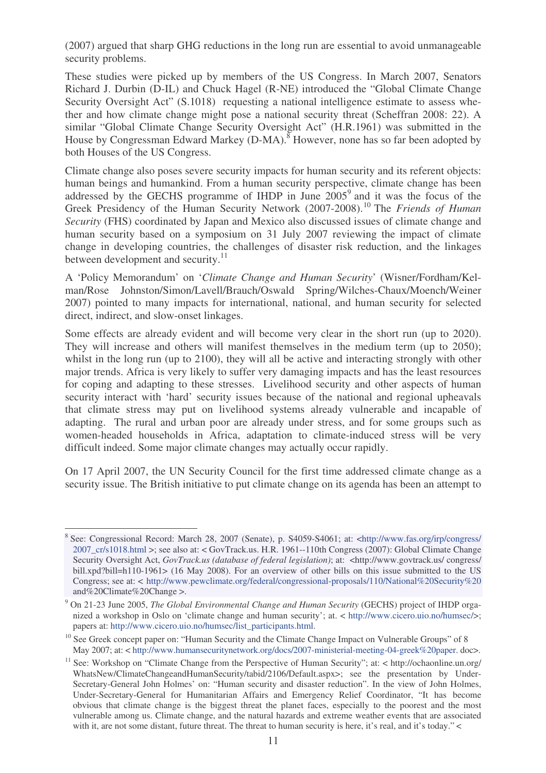(2007) argued that sharp GHG reductions in the long run are essential to avoid unmanageable security problems.

These studies were picked up by members of the US Congress. In March 2007, Senators Richard J. Durbin (D-IL) and Chuck Hagel (R-NE) introduced the "Global Climate Change Security Oversight Act" (S.1018) requesting a national intelligence estimate to assess whether and how climate change might pose a national security threat (Scheffran 2008: 22). A similar "Global Climate Change Security Oversight Act" (H.R.1961) was submitted in the House by Congressman Edward Markey (D-MA).<sup>8</sup> However, none has so far been adopted by both Houses of the US Congress.

Climate change also poses severe security impacts for human security and its referent objects: human beings and humankind. From a human security perspective, climate change has been addressed by the GECHS programme of IHDP in June 2005<sup>9</sup> and it was the focus of the Greek Presidency of the Human Security Network (2007-2008). 10 The *Friends of Human Security* (FHS) coordinated by Japan and Mexico also discussed issues of climate change and human security based on a symposium on 31 July 2007 reviewing the impact of climate change in developing countries, the challenges of disaster risk reduction, and the linkages between development and security.<sup>11</sup>

A 'Policy Memorandum' on '*Climate Change and Human Security*' (Wisner/Fordham/Kelman/Rose Johnston/Simon/Lavell/Brauch/Oswald Spring/Wilches-Chaux/Moench/Weiner 2007) pointed to many impacts for international, national, and human security for selected direct, indirect, and slow-onset linkages.

Some effects are already evident and will become very clear in the short run (up to 2020). They will increase and others will manifest themselves in the medium term (up to 2050); whilst in the long run (up to 2100), they will all be active and interacting strongly with other major trends. Africa is very likely to suffer very damaging impacts and has the least resources for coping and adapting to these stresses. Livelihood security and other aspects of human security interact with 'hard' security issues because of the national and regional upheavals that climate stress may put on livelihood systems already vulnerable and incapable of adapting. The rural and urban poor are already under stress, and for some groups such as women-headed households in Africa, adaptation to climate-induced stress will be very difficult indeed. Some major climate changes may actually occur rapidly.

On 17 April 2007, the UN Security Council for the first time addressed climate change as a security issue. The British initiative to put climate change on its agenda has been an attempt to

<sup>&</sup>lt;sup>8</sup> See: Congressional Record: March 28, 2007 (Senate), p. S4059-S4061; at: <http://www.fas.org/irp/congress/ 2007\_cr/s1018.html >; see also at: < GovTrack.us. H.R. 1961--110th Congress (2007): Global Climate Change Security Oversight Act, *GovTrack.us (database of federal legislation)*; at: <http://www.govtrack.us/ congress/ bill.xpd?bill=h110-1961> (16 May 2008). For an overview of other bills on this issue submitted to the US Congress; see at: < http://www.pewclimate.org/federal/congressional-proposals/110/National%20Security%20 and%20Climate%20Change >.

<sup>9</sup> On 21-23 June 2005, *The Global Environmental Change and Human Security* (GECHS) project of IHDP organized a workshop in Oslo on 'climate change and human security'; at. < http://www.cicero.uio.no/humsec/>; papers at: http://www.cicero.uio.no/humsec/list\_participants.html.

<sup>&</sup>lt;sup>10</sup> See Greek concept paper on: "Human Security and the Climate Change Impact on Vulnerable Groups" of 8 May 2007; at: < http://www.humansecuritynetwork.org/docs/2007-ministerial-meeting-04-greek%20paper. doc>.

<sup>&</sup>lt;sup>11</sup> See: Workshop on "Climate Change from the Perspective of Human Security"; at: < http://ochaonline.un.org/ WhatsNew/ClimateChangeandHumanSecurity/tabid/2106/Default.aspx>; see the presentation by Under-Secretary-General John Holmes' on: "Human security and disaster reduction". In the view of John Holmes, Under-Secretary-General for Humanitarian Affairs and Emergency Relief Coordinator, "It has become obvious that climate change is the biggest threat the planet faces, especially to the poorest and the most vulnerable among us. Climate change, and the natural hazards and extreme weather events that are associated with it, are not some distant, future threat. The threat to human security is here, it's real, and it's today."<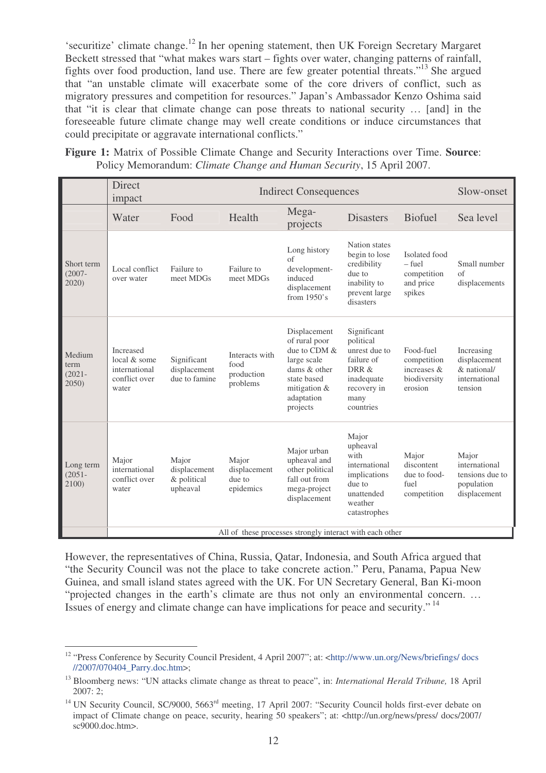'securitize' climate change.<sup>12</sup> In her opening statement, then UK Foreign Secretary Margaret Beckett stressed that "what makes wars start – fights over water, changing patterns of rainfall, fights over food production, land use. There are few greater potential threats."<sup>13</sup> She argued that "an unstable climate will exacerbate some of the core drivers of conflict, such as migratory pressures and competition for resources." Japan's Ambassador Kenzo Oshima said that "it is clear that climate change can pose threats to national security … [and] in the foreseeable future climate change may well create conditions or induce circumstances that could precipitate or aggravate international conflicts."

**Figure 1:** Matrix of Possible Climate Change and Security Interactions over Time. **Source**: Policy Memorandum: *Climate Change and Human Security*, 15 April 2007.

|                                      | Direct<br>impact                                                            |                                                  | Slow-onset                                       |                                                                                                                                       |                                                                                                                    |                                                                      |                                                                         |  |
|--------------------------------------|-----------------------------------------------------------------------------|--------------------------------------------------|--------------------------------------------------|---------------------------------------------------------------------------------------------------------------------------------------|--------------------------------------------------------------------------------------------------------------------|----------------------------------------------------------------------|-------------------------------------------------------------------------|--|
|                                      | Water                                                                       | Food                                             | Health                                           | Mega-<br>projects                                                                                                                     | <b>Disasters</b>                                                                                                   | <b>Biofuel</b>                                                       | Sea level                                                               |  |
| Short term<br>$(2007 -$<br>2020)     | Local conflict<br>over water                                                | Failure to<br>meet MDGs                          | Failure to<br>meet MDGs                          | Long history<br>$\sigma$ f<br>development-<br>induced<br>displacement<br>from $1950$ 's                                               | Nation states<br>begin to lose<br>credibility<br>due to<br>inability to<br>prevent large<br>disasters              | Isolated food<br>– fuel<br>competition<br>and price<br>spikes        | Small number<br>of<br>displacements                                     |  |
| Medium<br>term<br>$(2021 -$<br>2050) | <b>Increased</b><br>local & some<br>international<br>conflict over<br>water | Significant<br>displacement<br>due to famine     | Interacts with<br>food<br>production<br>problems | Displacement<br>of rural poor<br>due to CDM &<br>large scale<br>dams & other<br>state based<br>mitigation &<br>adaptation<br>projects | Significant<br>political<br>unrest due to<br>failure of<br>DRR &<br>inadequate<br>recovery in<br>many<br>countries | Food-fuel<br>competition<br>increases $&$<br>biodiversity<br>erosion | Increasing<br>displacement<br>& national/<br>international<br>tension   |  |
| Long term<br>$(2051 -$<br>2100)      | Major<br>international<br>conflict over<br>water                            | Major<br>displacement<br>& political<br>upheaval | Major<br>displacement<br>due to<br>epidemics     | Major urban<br>upheaval and<br>other political<br>fall out from<br>mega-project<br>displacement                                       | Major<br>upheaval<br>with<br>international<br>implications<br>due to<br>unattended<br>weather<br>catastrophes      | Major<br>discontent<br>due to food-<br>fuel<br>competition           | Major<br>international<br>tensions due to<br>population<br>displacement |  |
|                                      | All of these processes strongly interact with each other                    |                                                  |                                                  |                                                                                                                                       |                                                                                                                    |                                                                      |                                                                         |  |

However, the representatives of China, Russia, Qatar, Indonesia, and South Africa argued that "the Security Council was not the place to take concrete action." Peru, Panama, Papua New Guinea, and small island states agreed with the UK. For UN Secretary General, Ban Ki-moon "projected changes in the earth's climate are thus not only an environmental concern. … Issues of energy and climate change can have implications for peace and security." 14

<sup>&</sup>lt;sup>12</sup> "Press Conference by Security Council President, 4 April 2007"; at: <http://www.un.org/News/briefings/ docs //2007/070404\_Parry.doc.htm>;

<sup>13</sup> Bloomberg news: "UN attacks climate change as threat to peace", in: *International Herald Tribune,* 18 April 2007: 2;

<sup>&</sup>lt;sup>14</sup> UN Security Council, SC/9000, 5663<sup>rd</sup> meeting, 17 April 2007: "Security Council holds first-ever debate on impact of Climate change on peace, security, hearing 50 speakers"; at: <http://un.org/news/press/ docs/2007/ sc9000.doc.htm>.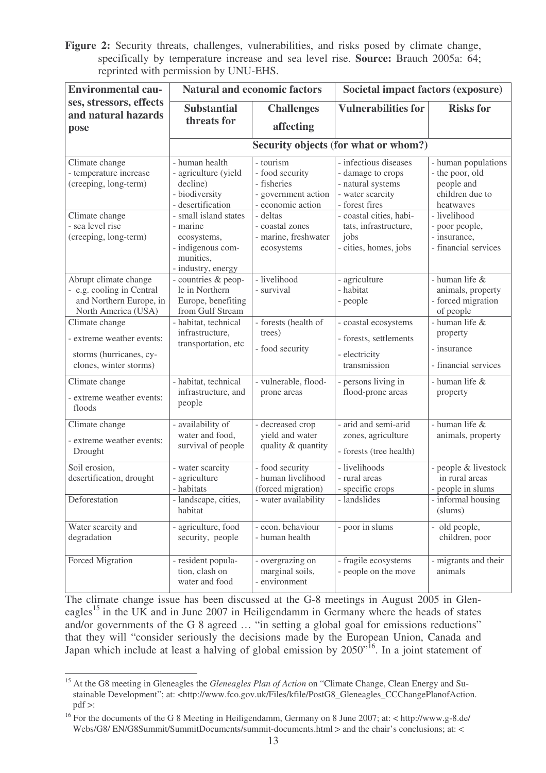**Figure 2:** Security threats, challenges, vulnerabilities, and risks posed by climate change, specifically by temperature increase and sea level rise. **Source:** Brauch 2005a: 64; reprinted with permission by UNU-EHS.

| <b>Environmental cau-</b>                                                                            |                                                                                                          | <b>Natural and economic factors</b>                                                     | <b>Societal impact factors (exposure)</b>                                                             |                                                                                      |  |  |  |
|------------------------------------------------------------------------------------------------------|----------------------------------------------------------------------------------------------------------|-----------------------------------------------------------------------------------------|-------------------------------------------------------------------------------------------------------|--------------------------------------------------------------------------------------|--|--|--|
| ses, stressors, effects<br>and natural hazards<br>pose                                               | <b>Substantial</b><br>threats for                                                                        | <b>Challenges</b><br>affecting                                                          | <b>Vulnerabilities for</b>                                                                            | <b>Risks for</b>                                                                     |  |  |  |
|                                                                                                      | Security objects (for what or whom?)                                                                     |                                                                                         |                                                                                                       |                                                                                      |  |  |  |
| Climate change<br>- temperature increase<br>(creeping, long-term)                                    | - human health<br>- agriculture (yield<br>decline)<br>- biodiversity<br>- desertification                | - tourism<br>- food security<br>- fisheries<br>- government action<br>- economic action | - infectious diseases<br>- damage to crops<br>- natural systems<br>- water scarcity<br>- forest fires | - human populations<br>- the poor, old<br>people and<br>children due to<br>heatwayes |  |  |  |
| Climate change<br>- sea level rise<br>(creeping, long-term)                                          | - small island states<br>- marine<br>ecosystems,<br>- indigenous com-<br>munities,<br>- industry, energy | - deltas<br>- coastal zones<br>- marine, freshwater<br>ecosystems                       | - coastal cities, habi-<br>tats, infrastructure,<br>jobs<br>- cities, homes, jobs                     | - livelihood<br>- poor people,<br>- insurance,<br>- financial services               |  |  |  |
| Abrupt climate change<br>- e.g. cooling in Central<br>and Northern Europe, in<br>North America (USA) | - countries & peop-<br>le in Northern<br>Europe, benefiting<br>from Gulf Stream                          | - livelihood<br>- survival                                                              | - agriculture<br>- habitat<br>- people                                                                | - human life &<br>animals, property<br>- forced migration<br>of people               |  |  |  |
| Climate change<br>- extreme weather events:<br>storms (hurricanes, cy-<br>clones, winter storms)     | - habitat, technical<br>infrastructure,<br>transportation, etc                                           | - forests (health of<br>trees)<br>- food security                                       | - coastal ecosystems<br>- forests, settlements<br>- electricity<br>transmission                       | - human life &<br>property<br>- insurance<br>- financial services                    |  |  |  |
| Climate change<br>- extreme weather events:<br>floods                                                | - habitat, technical<br>infrastructure, and<br>people                                                    | - vulnerable, flood-<br>prone areas                                                     | - persons living in<br>flood-prone areas                                                              | - human life &<br>property                                                           |  |  |  |
| Climate change<br>- extreme weather events:<br>Drought                                               | - availability of<br>water and food,<br>survival of people                                               | - decreased crop<br>yield and water<br>quality & quantity                               | - arid and semi-arid<br>zones, agriculture<br>- forests (tree health)                                 | - human life &<br>animals, property                                                  |  |  |  |
| Soil erosion,<br>desertification, drought                                                            | - water scarcity<br>- agriculture<br>- habitats                                                          | - food security<br>- human livelihood<br>(forced migration)                             | - livelihoods<br>- rural areas<br>- specific crops                                                    | - people & livestock<br>in rural areas<br>- people in slums                          |  |  |  |
| Deforestation                                                                                        | - landscape, cities,<br>habitat                                                                          | - water availability                                                                    | - landslides                                                                                          | - informal housing<br>(slums)                                                        |  |  |  |
| Water scarcity and<br>degradation                                                                    | - agriculture, food<br>security, people                                                                  | - econ. behaviour<br>- human health                                                     | - poor in slums                                                                                       | - old people,<br>children, poor                                                      |  |  |  |
| Forced Migration                                                                                     | - resident popula-<br>tion, clash on<br>water and food                                                   | - overgrazing on<br>marginal soils,<br>- environment                                    | - fragile ecosystems<br>- people on the move                                                          | - migrants and their<br>animals                                                      |  |  |  |

The climate change issue has been discussed at the G-8 meetings in August 2005 in Gleneagles<sup>15</sup> in the UK and in June 2007 in Heiligendamm in Germany where the heads of states and/or governments of the G 8 agreed … "in setting a global goal for emissions reductions" that they will "consider seriously the decisions made by the European Union, Canada and Japan which include at least a halving of global emission by 2050"<sup>16</sup>. In a joint statement of

<sup>15</sup> At the G8 meeting in Gleneagles the *Gleneagles Plan of Action* on "Climate Change, Clean Energy and Sustainable Development"; at: <http://www.fco.gov.uk/Files/kfile/PostG8\_Gleneagles\_CCChangePlanofAction. pdf >:

<sup>&</sup>lt;sup>16</sup> For the documents of the G 8 Meeting in Heiligendamm, Germany on 8 June 2007; at: < http://www.g-8.de/ Webs/G8/ EN/G8Summit/SummitDocuments/summit-documents.html > and the chair's conclusions; at: <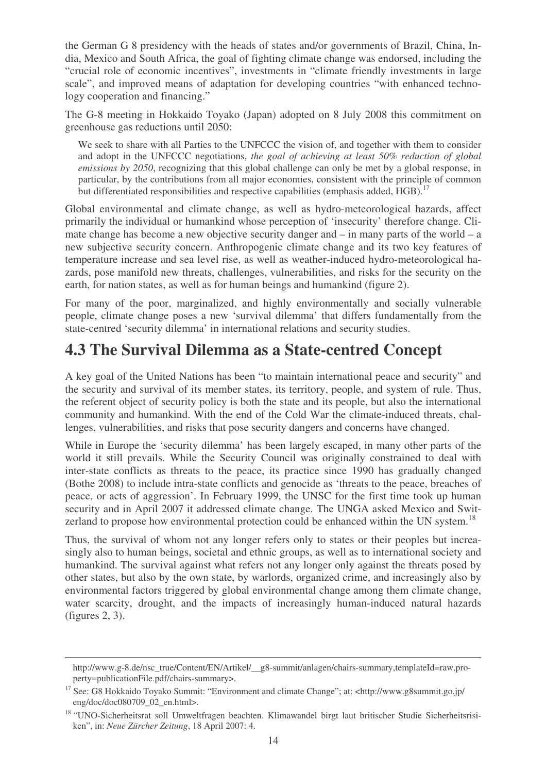the German G 8 presidency with the heads of states and/or governments of Brazil, China, India, Mexico and South Africa, the goal of fighting climate change was endorsed, including the "crucial role of economic incentives", investments in "climate friendly investments in large scale", and improved means of adaptation for developing countries "with enhanced technology cooperation and financing."

The G-8 meeting in Hokkaido Toyako (Japan) adopted on 8 July 2008 this commitment on greenhouse gas reductions until 2050:

We seek to share with all Parties to the UNFCCC the vision of, and together with them to consider and adopt in the UNFCCC negotiations, *the goal of achieving at least 50% reduction of global emissions by* 2050, recognizing that this global challenge can only be met by a global response, in particular, by the contributions from all major economies, consistent with the principle of common but differentiated responsibilities and respective capabilities (emphasis added, HGB).<sup>17</sup>

Global environmental and climate change, as well as hydro-meteorological hazards, affect primarily the individual or humankind whose perception of 'insecurity' therefore change. Climate change has become a new objective security danger and – in many parts of the world – a new subjective security concern. Anthropogenic climate change and its two key features of temperature increase and sea level rise, as well as weather-induced hydro-meteorological hazards, pose manifold new threats, challenges, vulnerabilities, and risks for the security on the earth, for nation states, as well as for human beings and humankind (figure 2).

For many of the poor, marginalized, and highly environmentally and socially vulnerable people, climate change poses a new 'survival dilemma' that differs fundamentally from the state-centred 'security dilemma' in international relations and security studies.

## **4.3 The Survival Dilemma as a State-centred Concept**

A key goal of the United Nations has been "to maintain international peace and security" and the security and survival of its member states, its territory, people, and system of rule. Thus, the referent object of security policy is both the state and its people, but also the international community and humankind. With the end of the Cold War the climate-induced threats, challenges, vulnerabilities, and risks that pose security dangers and concerns have changed.

While in Europe the 'security dilemma' has been largely escaped, in many other parts of the world it still prevails. While the Security Council was originally constrained to deal with inter-state conflicts as threats to the peace, its practice since 1990 has gradually changed (Bothe 2008) to include intra-state conflicts and genocide as 'threats to the peace, breaches of peace, or acts of aggression'. In February 1999, the UNSC for the first time took up human security and in April 2007 it addressed climate change. The UNGA asked Mexico and Switzerland to propose how environmental protection could be enhanced within the UN system.<sup>18</sup>

Thus, the survival of whom not any longer refers only to states or their peoples but increasingly also to human beings, societal and ethnic groups, as well as to international society and humankind. The survival against what refers not any longer only against the threats posed by other states, but also by the own state, by warlords, organized crime, and increasingly also by environmental factors triggered by global environmental change among them climate change, water scarcity, drought, and the impacts of increasingly human-induced natural hazards (figures 2, 3).

http://www.g-8.de/nsc\_true/Content/EN/Artikel/\_\_g8-summit/anlagen/chairs-summary,templateId=raw,property=publicationFile.pdf/chairs-summary>.

<sup>&</sup>lt;sup>17</sup> See: G8 Hokkaido Toyako Summit: "Environment and climate Change"; at: <http://www.g8summit.go.jp/ eng/doc/doc080709\_02\_en.html>.

<sup>&</sup>lt;sup>18</sup> "UNO-Sicherheitsrat soll Umweltfragen beachten. Klimawandel birgt laut britischer Studie Sicherheitsrisiken", in: *Neue Zürcher Zeitung*, 18 April 2007: 4.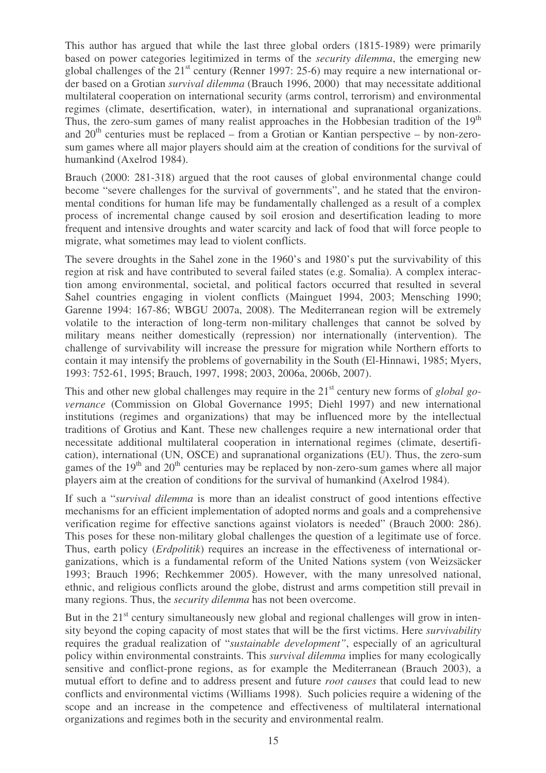This author has argued that while the last three global orders (1815-1989) were primarily based on power categories legitimized in terms of the *security dilemma*, the emerging new global challenges of the 21<sup>st</sup> century (Renner 1997: 25-6) may require a new international order based on a Grotian *survival dilemma* (Brauch 1996, 2000) that may necessitate additional multilateral cooperation on international security (arms control, terrorism) and environmental regimes (climate, desertification, water), in international and supranational organizations. Thus, the zero-sum games of many realist approaches in the Hobbesian tradition of the 19<sup>th</sup> and 20<sup>th</sup> centuries must be replaced – from a Grotian or Kantian perspective – by non-zerosum games where all major players should aim at the creation of conditions for the survival of humankind (Axelrod 1984).

Brauch (2000: 281-318) argued that the root causes of global environmental change could become "severe challenges for the survival of governments", and he stated that the environmental conditions for human life may be fundamentally challenged as a result of a complex process of incremental change caused by soil erosion and desertification leading to more frequent and intensive droughts and water scarcity and lack of food that will force people to migrate, what sometimes may lead to violent conflicts.

The severe droughts in the Sahel zone in the 1960's and 1980's put the survivability of this region at risk and have contributed to several failed states (e.g. Somalia). A complex interaction among environmental, societal, and political factors occurred that resulted in several Sahel countries engaging in violent conflicts (Mainguet 1994, 2003; Mensching 1990; Garenne 1994: 167-86; WBGU 2007a, 2008). The Mediterranean region will be extremely volatile to the interaction of long-term non-military challenges that cannot be solved by military means neither domestically (repression) nor internationally (intervention). The challenge of survivability will increase the pressure for migration while Northern efforts to contain it may intensify the problems of governability in the South (El-Hinnawi, 1985; Myers, 1993: 752-61, 1995; Brauch, 1997, 1998; 2003, 2006a, 2006b, 2007).

This and other new global challenges may require in the 21<sup>st</sup> century new forms of *global governance* (Commission on Global Governance 1995; Diehl 1997) and new international institutions (regimes and organizations) that may be influenced more by the intellectual traditions of Grotius and Kant. These new challenges require a new international order that necessitate additional multilateral cooperation in international regimes (climate, desertification), international (UN, OSCE) and supranational organizations (EU). Thus, the zero-sum games of the 19<sup>th</sup> and 20<sup>th</sup> centuries may be replaced by non-zero-sum games where all major players aim at the creation of conditions for the survival of humankind (Axelrod 1984).

If such a "*survival dilemma* is more than an idealist construct of good intentions effective mechanisms for an efficient implementation of adopted norms and goals and a comprehensive verification regime for effective sanctions against violators is needed" (Brauch 2000: 286). This poses for these non-military global challenges the question of a legitimate use of force. Thus, earth policy (*Erdpolitik*) requires an increase in the effectiveness of international organizations, which is a fundamental reform of the United Nations system (von Weizsäcker 1993; Brauch 1996; Rechkemmer 2005). However, with the many unresolved national, ethnic, and religious conflicts around the globe, distrust and arms competition still prevail in many regions. Thus, the *security dilemma* has not been overcome.

But in the 21<sup>st</sup> century simultaneously new global and regional challenges will grow in intensity beyond the coping capacity of most states that will be the first victims. Here *survivability* requires the gradual realization of "*sustainable development"*, especially of an agricultural policy within environmental constraints. This *survival dilemma* implies for many ecologically sensitive and conflict-prone regions, as for example the Mediterranean (Brauch 2003), a mutual effort to define and to address present and future *root causes* that could lead to new conflicts and environmental victims (Williams 1998). Such policies require a widening of the scope and an increase in the competence and effectiveness of multilateral international organizations and regimes both in the security and environmental realm.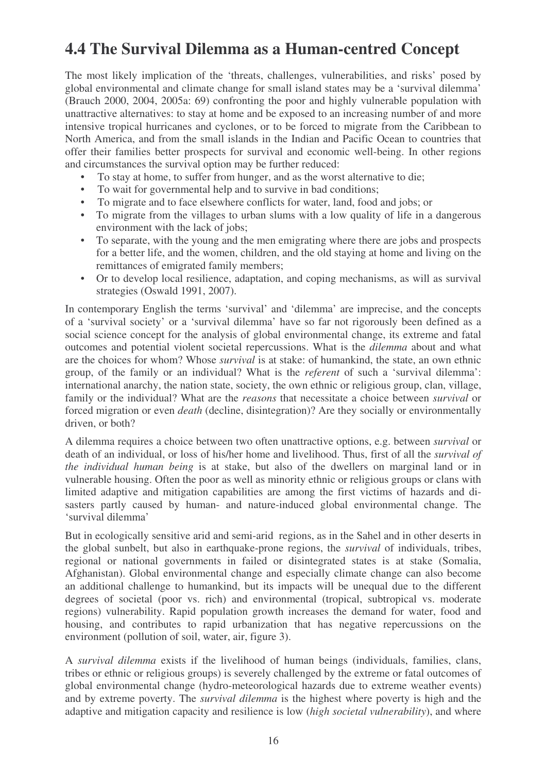# **4.4 The Survival Dilemma as a Human-centred Concept**

The most likely implication of the 'threats, challenges, vulnerabilities, and risks' posed by global environmental and climate change for small island states may be a 'survival dilemma' (Brauch 2000, 2004, 2005a: 69) confronting the poor and highly vulnerable population with unattractive alternatives: to stay at home and be exposed to an increasing number of and more intensive tropical hurricanes and cyclones, or to be forced to migrate from the Caribbean to North America, and from the small islands in the Indian and Pacific Ocean to countries that offer their families better prospects for survival and economic well-being. In other regions and circumstances the survival option may be further reduced:

- To stay at home, to suffer from hunger, and as the worst alternative to die;
- To wait for governmental help and to survive in bad conditions;
- To migrate and to face elsewhere conflicts for water, land, food and jobs; or
- To migrate from the villages to urban slums with a low quality of life in a dangerous environment with the lack of jobs;
- To separate, with the young and the men emigrating where there are jobs and prospects for a better life, and the women, children, and the old staying at home and living on the remittances of emigrated family members;
- Or to develop local resilience, adaptation, and coping mechanisms, as will as survival strategies (Oswald 1991, 2007).

In contemporary English the terms 'survival' and 'dilemma' are imprecise, and the concepts of a 'survival society' or a 'survival dilemma' have so far not rigorously been defined as a social science concept for the analysis of global environmental change, its extreme and fatal outcomes and potential violent societal repercussions. What is the *dilemma* about and what are the choices for whom? Whose *survival* is at stake: of humankind, the state, an own ethnic group, of the family or an individual? What is the *referent* of such a 'survival dilemma': international anarchy, the nation state, society, the own ethnic or religious group, clan, village, family or the individual? What are the *reasons* that necessitate a choice between *survival* or forced migration or even *death* (decline, disintegration)? Are they socially or environmentally driven, or both?

A dilemma requires a choice between two often unattractive options, e.g. between *survival* or death of an individual, or loss of his/her home and livelihood. Thus, first of all the *survival of the individual human being* is at stake, but also of the dwellers on marginal land or in vulnerable housing. Often the poor as well as minority ethnic or religious groups or clans with limited adaptive and mitigation capabilities are among the first victims of hazards and disasters partly caused by human- and nature-induced global environmental change. The 'survival dilemma'

But in ecologically sensitive arid and semi-arid regions, as in the Sahel and in other deserts in the global sunbelt, but also in earthquake-prone regions, the *survival* of individuals, tribes, regional or national governments in failed or disintegrated states is at stake (Somalia, Afghanistan). Global environmental change and especially climate change can also become an additional challenge to humankind, but its impacts will be unequal due to the different degrees of societal (poor vs. rich) and environmental (tropical, subtropical vs. moderate regions) vulnerability. Rapid population growth increases the demand for water, food and housing, and contributes to rapid urbanization that has negative repercussions on the environment (pollution of soil, water, air, figure 3).

A *survival dilemma* exists if the livelihood of human beings (individuals, families, clans, tribes or ethnic or religious groups) is severely challenged by the extreme or fatal outcomes of global environmental change (hydro-meteorological hazards due to extreme weather events) and by extreme poverty. The *survival dilemma* is the highest where poverty is high and the adaptive and mitigation capacity and resilience is low (*high societal vulnerability*), and where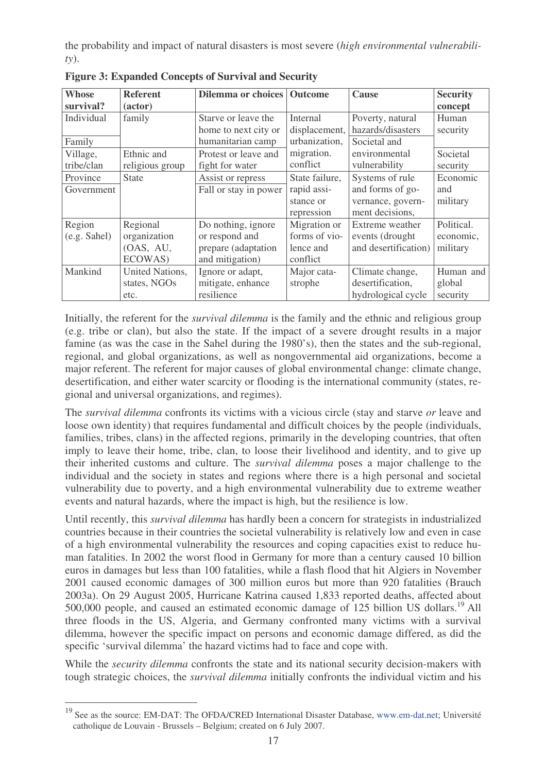the probability and impact of natural disasters is most severe (*high environmental vulnerability*).

| <b>Whose</b> | <b>Referent</b> | Dilemma or choices   Outcome |                | Cause                | <b>Security</b> |
|--------------|-----------------|------------------------------|----------------|----------------------|-----------------|
| survival?    | (actor)         |                              |                |                      | concept         |
| Individual   | family          | Starve or leave the          | Internal       | Poverty, natural     | Human           |
|              |                 | home to next city or         | displacement,  | hazards/disasters    | security        |
| Family       |                 | humanitarian camp            | urbanization,  | Societal and         |                 |
| Village,     | Ethnic and      | Protest or leave and         | migration.     | environmental        | Societal        |
| tribe/clan   | religious group | fight for water              | conflict       | vulnerability        | security        |
| Province     | <b>State</b>    | Assist or repress            | State failure, | Systems of rule      | Economic        |
| Government   |                 | Fall or stay in power        | rapid assi-    | and forms of go-     | and             |
|              |                 |                              | stance or      | vernance, govern-    | military        |
|              |                 |                              | repression     | ment decisions,      |                 |
| Region       | Regional        | Do nothing, ignore           | Migration or   | Extreme weather      | Political.      |
| (e.g. Sahel) | organization    | or respond and               | forms of vio-  | events (drought      | economic,       |
|              | (OAS, AU,       | prepare (adaptation          | lence and      | and desertification) | military        |
|              | ECOWAS)         | and mitigation)              | conflict       |                      |                 |
| Mankind      | United Nations, | Ignore or adapt,             | Major cata-    | Climate change,      | Human and       |
|              | states, NGOs    | mitigate, enhance            | strophe        | desertification,     | global          |
|              | etc.            | resilience                   |                | hydrological cycle   | security        |

**Figure 3: Expanded Concepts of Survival and Security**

Initially, the referent for the *survival dilemma* is the family and the ethnic and religious group (e.g. tribe or clan), but also the state. If the impact of a severe drought results in a major famine (as was the case in the Sahel during the 1980's), then the states and the sub-regional, regional, and global organizations, as well as nongovernmental aid organizations, become a major referent. The referent for major causes of global environmental change: climate change, desertification, and either water scarcity or flooding is the international community (states, regional and universal organizations, and regimes).

The *survival dilemma* confronts its victims with a vicious circle (stay and starve *or* leave and loose own identity) that requires fundamental and difficult choices by the people (individuals, families, tribes, clans) in the affected regions, primarily in the developing countries, that often imply to leave their home, tribe, clan, to loose their livelihood and identity, and to give up their inherited customs and culture. The *survival dilemma* poses a major challenge to the individual and the society in states and regions where there is a high personal and societal vulnerability due to poverty, and a high environmental vulnerability due to extreme weather events and natural hazards, where the impact is high, but the resilience is low.

Until recently, this *survival dilemma* has hardly been a concern for strategists in industrialized countries because in their countries the societal vulnerability is relatively low and even in case of a high environmental vulnerability the resources and coping capacities exist to reduce human fatalities. In 2002 the worst flood in Germany for more than a century caused 10 billion euros in damages but less than 100 fatalities, while a flash flood that hit Algiers in November 2001 caused economic damages of 300 million euros but more than 920 fatalities (Brauch 2003a). On 29 August 2005, Hurricane Katrina caused 1,833 reported deaths, affected about 500,000 people, and caused an estimated economic damage of 125 billion US dollars.<sup>19</sup> All three floods in the US, Algeria, and Germany confronted many victims with a survival dilemma, however the specific impact on persons and economic damage differed, as did the specific 'survival dilemma' the hazard victims had to face and cope with.

While the *security dilemma* confronts the state and its national security decision-makers with tough strategic choices, the *survival dilemma* initially confronts the individual victim and his

<sup>&</sup>lt;sup>19</sup> See as the source: EM-DAT: The OFDA/CRED International Disaster Database, www.em-dat.net; Université catholique de Louvain - Brussels – Belgium; created on 6 July 2007.